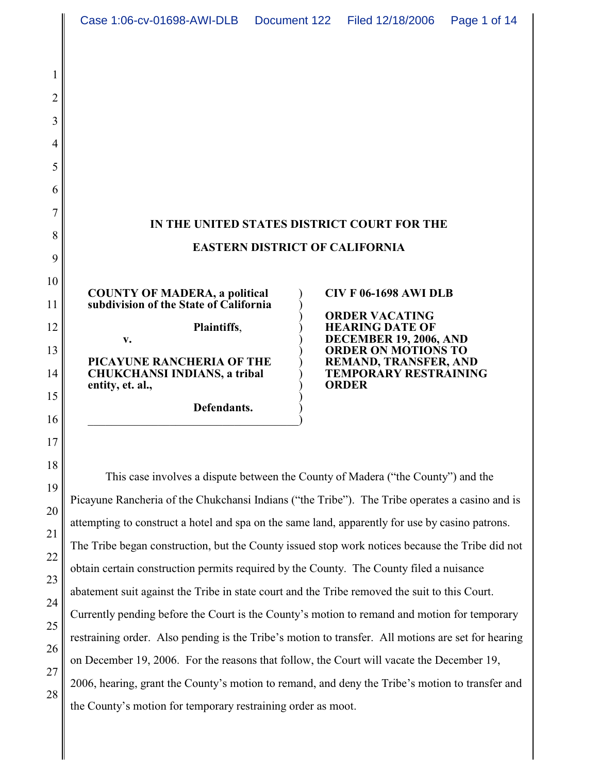|                                                                                | Case 1:06-cv-01698-AWI-DLB  Document 122                                                                                                                                                                                                                                                                                                                                                                                                                                                                                                                                                                                                                                                                                                                                                                                                                                                                                                                                                                                                                   |                                       | Filed 12/18/2006                                                                                                                                                                                                                                                       | Page 1 of 14 |
|--------------------------------------------------------------------------------|------------------------------------------------------------------------------------------------------------------------------------------------------------------------------------------------------------------------------------------------------------------------------------------------------------------------------------------------------------------------------------------------------------------------------------------------------------------------------------------------------------------------------------------------------------------------------------------------------------------------------------------------------------------------------------------------------------------------------------------------------------------------------------------------------------------------------------------------------------------------------------------------------------------------------------------------------------------------------------------------------------------------------------------------------------|---------------------------------------|------------------------------------------------------------------------------------------------------------------------------------------------------------------------------------------------------------------------------------------------------------------------|--------------|
| 2<br>3<br>4<br>5<br>6<br>7<br>8<br>9<br>10<br>11<br>12<br>13<br>14<br>15<br>16 | <b>COUNTY OF MADERA, a political</b><br>subdivision of the State of California<br>Plaintiffs,<br>$V_{\bullet}$<br>PICAYUNE RANCHERIA OF THE<br><b>CHUKCHANSI INDIANS, a tribal</b><br>entity, et. al.,<br>Defendants.                                                                                                                                                                                                                                                                                                                                                                                                                                                                                                                                                                                                                                                                                                                                                                                                                                      | <b>EASTERN DISTRICT OF CALIFORNIA</b> | IN THE UNITED STATES DISTRICT COURT FOR THE<br><b>CIV F 06-1698 AWI DLB</b><br><b>ORDER VACATING</b><br><b>HEARING DATE OF</b><br><b>DECEMBER 19, 2006, AND</b><br><b>ORDER ON MOTIONS TO</b><br>REMAND, TRANSFER, AND<br><b>TEMPORARY RESTRAINING</b><br><b>ORDER</b> |              |
| 17<br>18<br>19<br>20<br>21<br>22<br>23<br>24<br>25<br>26<br>27<br>28           | This case involves a dispute between the County of Madera ("the County") and the<br>Picayune Rancheria of the Chukchansi Indians ("the Tribe"). The Tribe operates a casino and is<br>attempting to construct a hotel and spa on the same land, apparently for use by casino patrons.<br>The Tribe began construction, but the County issued stop work notices because the Tribe did not<br>obtain certain construction permits required by the County. The County filed a nuisance<br>abatement suit against the Tribe in state court and the Tribe removed the suit to this Court.<br>Currently pending before the Court is the County's motion to remand and motion for temporary<br>restraining order. Also pending is the Tribe's motion to transfer. All motions are set for hearing<br>on December 19, 2006. For the reasons that follow, the Court will vacate the December 19,<br>2006, hearing, grant the County's motion to remand, and deny the Tribe's motion to transfer and<br>the County's motion for temporary restraining order as moot. |                                       |                                                                                                                                                                                                                                                                        |              |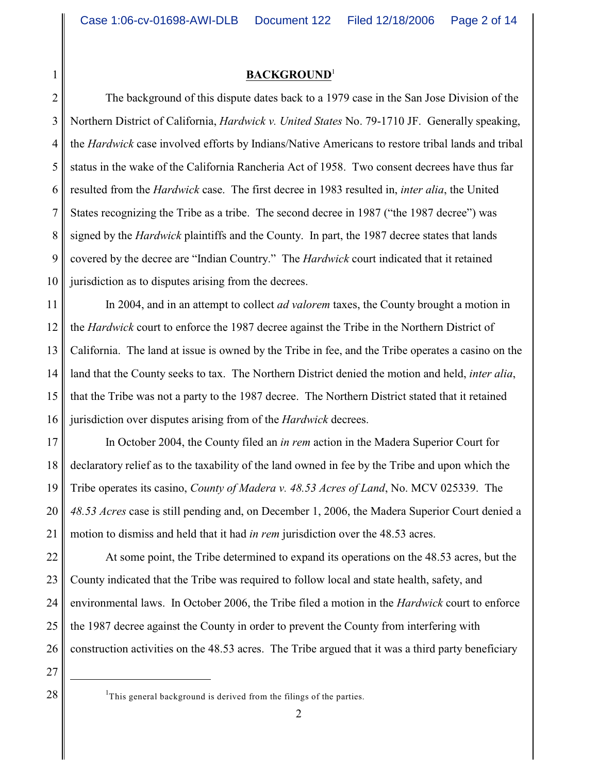#### **BACKGROUND**<sup>1</sup>

2 3 4 5 6 7 8 9 10 The background of this dispute dates back to a 1979 case in the San Jose Division of the Northern District of California, *Hardwick v. United States* No. 79-1710 JF. Generally speaking, the *Hardwick* case involved efforts by Indians/Native Americans to restore tribal lands and tribal status in the wake of the California Rancheria Act of 1958. Two consent decrees have thus far resulted from the *Hardwick* case. The first decree in 1983 resulted in, *inter alia*, the United States recognizing the Tribe as a tribe. The second decree in 1987 ("the 1987 decree") was signed by the *Hardwick* plaintiffs and the County. In part, the 1987 decree states that lands covered by the decree are "Indian Country." The *Hardwick* court indicated that it retained jurisdiction as to disputes arising from the decrees.

11 12 13 14 15 16 In 2004, and in an attempt to collect *ad valorem* taxes, the County brought a motion in the *Hardwick* court to enforce the 1987 decree against the Tribe in the Northern District of California. The land at issue is owned by the Tribe in fee, and the Tribe operates a casino on the land that the County seeks to tax. The Northern District denied the motion and held, *inter alia*, that the Tribe was not a party to the 1987 decree. The Northern District stated that it retained jurisdiction over disputes arising from of the *Hardwick* decrees.

17 18 19 20 21 In October 2004, the County filed an *in rem* action in the Madera Superior Court for declaratory relief as to the taxability of the land owned in fee by the Tribe and upon which the Tribe operates its casino, *County of Madera v. 48.53 Acres of Land*, No. MCV 025339. The *48.53 Acres* case is still pending and, on December 1, 2006, the Madera Superior Court denied a motion to dismiss and held that it had *in rem* jurisdiction over the 48.53 acres.

22 23 24 25 26 At some point, the Tribe determined to expand its operations on the 48.53 acres, but the County indicated that the Tribe was required to follow local and state health, safety, and environmental laws. In October 2006, the Tribe filed a motion in the *Hardwick* court to enforce the 1987 decree against the County in order to prevent the County from interfering with construction activities on the 48.53 acres. The Tribe argued that it was a third party beneficiary

27

 $28 \parallel$  <sup>1</sup>This general background is derived from the filings of the parties.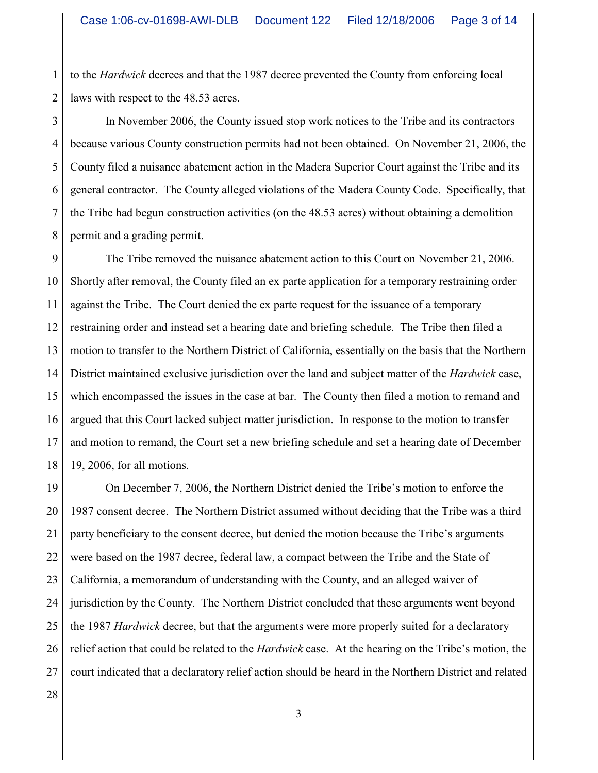1 2 to the *Hardwick* decrees and that the 1987 decree prevented the County from enforcing local laws with respect to the 48.53 acres.

3 4 5 6 7 8 In November 2006, the County issued stop work notices to the Tribe and its contractors because various County construction permits had not been obtained. On November 21, 2006, the County filed a nuisance abatement action in the Madera Superior Court against the Tribe and its general contractor. The County alleged violations of the Madera County Code. Specifically, that the Tribe had begun construction activities (on the 48.53 acres) without obtaining a demolition permit and a grading permit.

9 10 11 12 13 14 15 16 17 18 The Tribe removed the nuisance abatement action to this Court on November 21, 2006. Shortly after removal, the County filed an ex parte application for a temporary restraining order against the Tribe. The Court denied the ex parte request for the issuance of a temporary restraining order and instead set a hearing date and briefing schedule. The Tribe then filed a motion to transfer to the Northern District of California, essentially on the basis that the Northern District maintained exclusive jurisdiction over the land and subject matter of the *Hardwick* case, which encompassed the issues in the case at bar. The County then filed a motion to remand and argued that this Court lacked subject matter jurisdiction. In response to the motion to transfer and motion to remand, the Court set a new briefing schedule and set a hearing date of December 19, 2006, for all motions.

19 20 21 22 23 24 25 26 27 On December 7, 2006, the Northern District denied the Tribe's motion to enforce the 1987 consent decree. The Northern District assumed without deciding that the Tribe was a third party beneficiary to the consent decree, but denied the motion because the Tribe's arguments were based on the 1987 decree, federal law, a compact between the Tribe and the State of California, a memorandum of understanding with the County, and an alleged waiver of jurisdiction by the County. The Northern District concluded that these arguments went beyond the 1987 *Hardwick* decree, but that the arguments were more properly suited for a declaratory relief action that could be related to the *Hardwick* case. At the hearing on the Tribe's motion, the court indicated that a declaratory relief action should be heard in the Northern District and related

28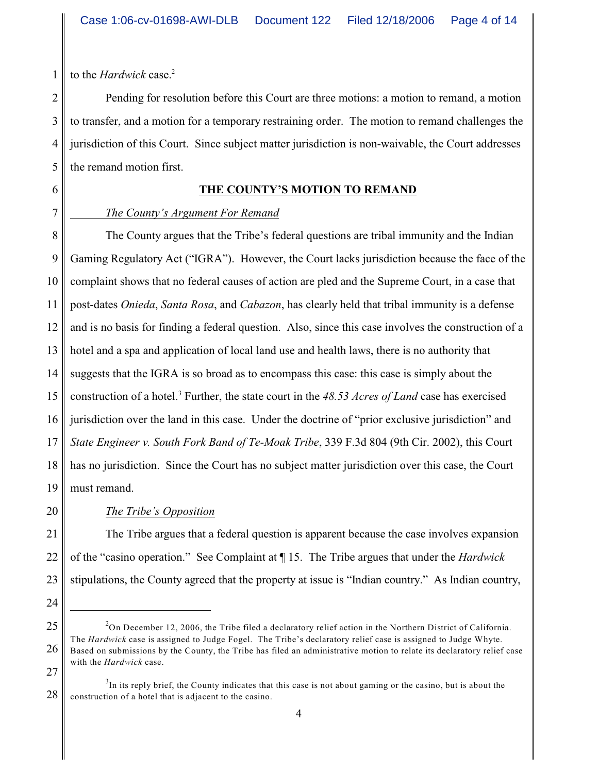to the *Hardwick* case. 2

1

2

Pending for resolution before this Court are three motions: a motion to remand, a motion to transfer, and a motion for a temporary restraining order. The motion to remand challenges the jurisdiction of this Court. Since subject matter jurisdiction is non-waivable, the Court addresses the remand motion first.

# **THE COUNTY'S MOTION TO REMAND**

## *The County's Argument For Remand*

The County argues that the Tribe's federal questions are tribal immunity and the Indian Gaming Regulatory Act ("IGRA"). However, the Court lacks jurisdiction because the face of the complaint shows that no federal causes of action are pled and the Supreme Court, in a case that post-dates *Onieda*, *Santa Rosa*, and *Cabazon*, has clearly held that tribal immunity is a defense and is no basis for finding a federal question. Also, since this case involves the construction of a hotel and a spa and application of local land use and health laws, there is no authority that suggests that the IGRA is so broad as to encompass this case: this case is simply about the construction of a hotel.<sup>3</sup> Further, the state court in the 48.53 Acres of Land case has exercised jurisdiction over the land in this case. Under the doctrine of "prior exclusive jurisdiction" and *State Engineer v. South Fork Band of Te-Moak Tribe*, 339 F.3d 804 (9th Cir. 2002), this Court has no jurisdiction. Since the Court has no subject matter jurisdiction over this case, the Court must remand.

# *The Tribe's Opposition*

The Tribe argues that a federal question is apparent because the case involves expansion of the "casino operation." See Complaint at ¶ 15. The Tribe argues that under the *Hardwick* stipulations, the County agreed that the property at issue is "Indian country." As Indian country,

 $^{2}$ On December 12, 2006, the Tribe filed a declaratory relief action in the Northern District of California. The *Hardwick* case is assigned to Judge Fogel. The Tribe's declaratory relief case is assigned to Judge Whyte. Based on submissions by the County, the Tribe has filed an administrative motion to relate its declaratory relief case with the *Hardwick* case.

 ${}^{3}$ In its reply brief, the County indicates that this case is not about gaming or the casino, but is about the construction of a hotel that is adjacent to the casino.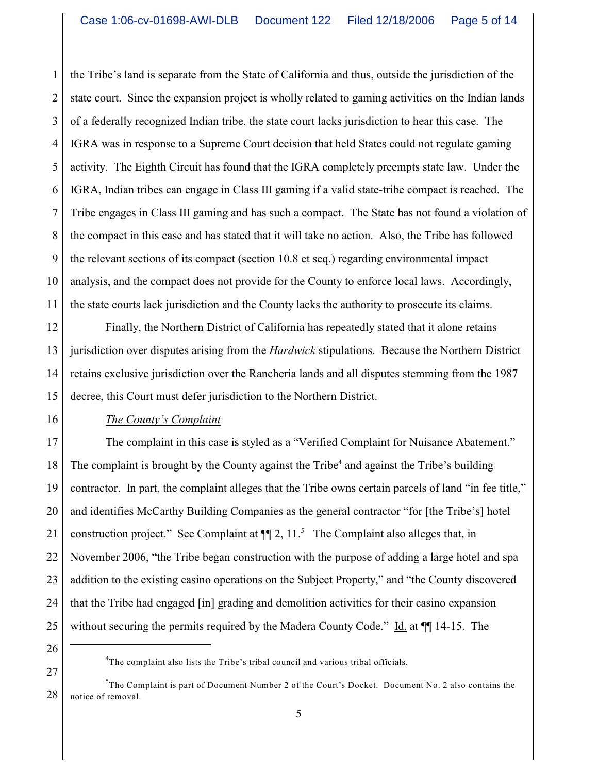1 2 3 4 5 6 7 8 9 10 11 the Tribe's land is separate from the State of California and thus, outside the jurisdiction of the state court. Since the expansion project is wholly related to gaming activities on the Indian lands of a federally recognized Indian tribe, the state court lacks jurisdiction to hear this case. The IGRA was in response to a Supreme Court decision that held States could not regulate gaming activity. The Eighth Circuit has found that the IGRA completely preempts state law. Under the IGRA, Indian tribes can engage in Class III gaming if a valid state-tribe compact is reached. The Tribe engages in Class III gaming and has such a compact. The State has not found a violation of the compact in this case and has stated that it will take no action. Also, the Tribe has followed the relevant sections of its compact (section 10.8 et seq.) regarding environmental impact analysis, and the compact does not provide for the County to enforce local laws. Accordingly, the state courts lack jurisdiction and the County lacks the authority to prosecute its claims.

12 13 14 15 Finally, the Northern District of California has repeatedly stated that it alone retains jurisdiction over disputes arising from the *Hardwick* stipulations. Because the Northern District retains exclusive jurisdiction over the Rancheria lands and all disputes stemming from the 1987 decree, this Court must defer jurisdiction to the Northern District.

## *The County's Complaint*

16

26

27

17 18 19 20 21 22 23 24 25 The complaint in this case is styled as a "Verified Complaint for Nuisance Abatement." The complaint is brought by the County against the Tribe<sup>4</sup> and against the Tribe's building contractor. In part, the complaint alleges that the Tribe owns certain parcels of land "in fee title," and identifies McCarthy Building Companies as the general contractor "for [the Tribe's] hotel construction project." See Complaint at  $\P$ [2, 11.<sup>5</sup> The Complaint also alleges that, in November 2006, "the Tribe began construction with the purpose of adding a large hotel and spa addition to the existing casino operations on the Subject Property," and "the County discovered that the Tribe had engaged [in] grading and demolition activities for their casino expansion without securing the permits required by the Madera County Code." Id. at  $\P$  14-15. The

 ${}^{4}$ The complaint also lists the Tribe's tribal council and various tribal officials.

<sup>28</sup>  ${}^{5}$ The Complaint is part of Document Number 2 of the Court's Docket. Document No. 2 also contains the notice of removal.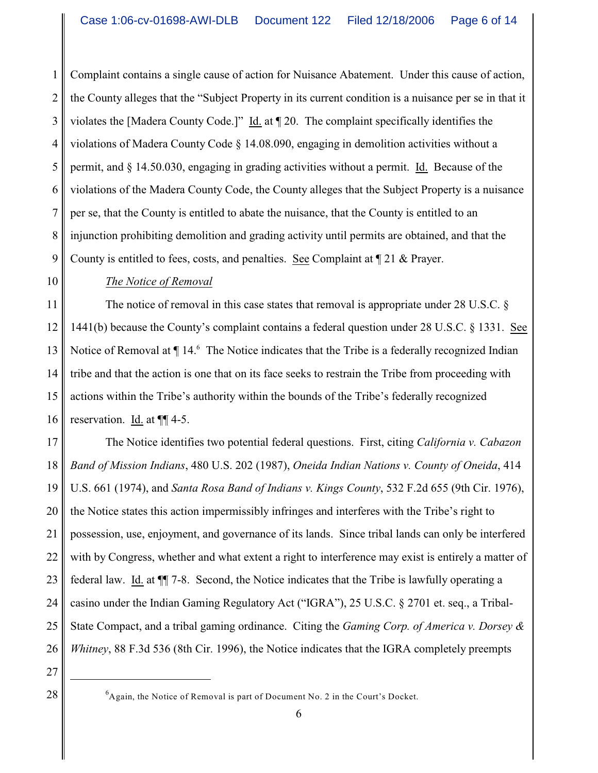1 2 3 4 5 6 7 8 9 Complaint contains a single cause of action for Nuisance Abatement. Under this cause of action, the County alleges that the "Subject Property in its current condition is a nuisance per se in that it violates the [Madera County Code.]" Id. at ¶ 20. The complaint specifically identifies the violations of Madera County Code § 14.08.090, engaging in demolition activities without a permit, and § 14.50.030, engaging in grading activities without a permit. Id. Because of the violations of the Madera County Code, the County alleges that the Subject Property is a nuisance per se, that the County is entitled to abate the nuisance, that the County is entitled to an injunction prohibiting demolition and grading activity until permits are obtained, and that the County is entitled to fees, costs, and penalties. See Complaint at  $\llbracket 21 \&$  Prayer.

## *The Notice of Removal*

11 12 13 14 15 16 The notice of removal in this case states that removal is appropriate under 28 U.S.C. § 1441(b) because the County's complaint contains a federal question under 28 U.S.C. § 1331. See Notice of Removal at  $\P$  14. $\textdegree$  The Notice indicates that the Tribe is a federally recognized Indian tribe and that the action is one that on its face seeks to restrain the Tribe from proceeding with actions within the Tribe's authority within the bounds of the Tribe's federally recognized reservation. Id. at ¶¶ 4-5.

17 18 19 20 21 22 23 24 25 26 The Notice identifies two potential federal questions. First, citing *California v. Cabazon Band of Mission Indians*, 480 U.S. 202 (1987), *Oneida Indian Nations v. County of Oneida*, 414 U.S. 661 (1974), and *Santa Rosa Band of Indians v. Kings County*, 532 F.2d 655 (9th Cir. 1976), the Notice states this action impermissibly infringes and interferes with the Tribe's right to possession, use, enjoyment, and governance of its lands. Since tribal lands can only be interfered with by Congress, whether and what extent a right to interference may exist is entirely a matter of federal law. Id. at ¶¶ 7-8. Second, the Notice indicates that the Tribe is lawfully operating a casino under the Indian Gaming Regulatory Act ("IGRA"), 25 U.S.C. § 2701 et. seq., a Tribal-State Compact, and a tribal gaming ordinance. Citing the *Gaming Corp. of America v. Dorsey & Whitney*, 88 F.3d 536 (8th Cir. 1996), the Notice indicates that the IGRA completely preempts

27

<sup>28</sup> Again, the Notice of Removal is part of Document No. 2 in the Court's Docket.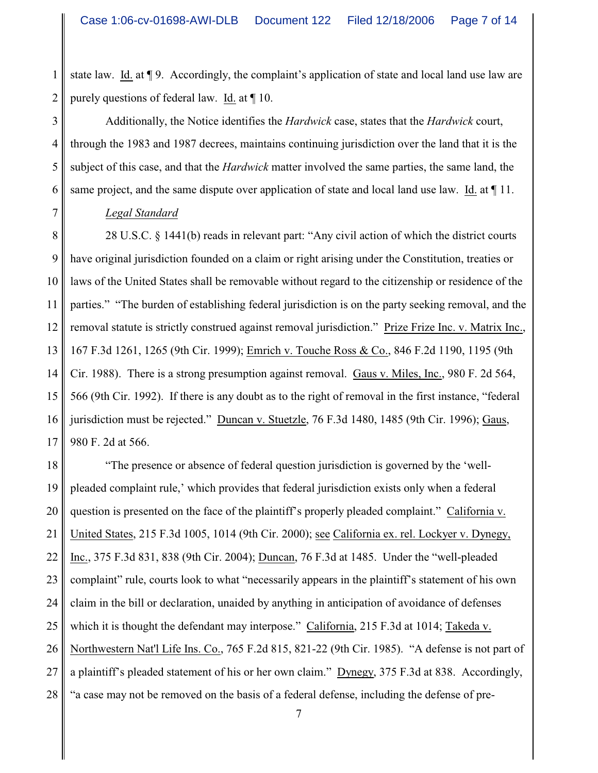1 2 state law. Id. at ¶ 9. Accordingly, the complaint's application of state and local land use law are purely questions of federal law. Id. at ¶ 10.

3 4 5 6 Additionally, the Notice identifies the *Hardwick* case, states that the *Hardwick* court, through the 1983 and 1987 decrees, maintains continuing jurisdiction over the land that it is the subject of this case, and that the *Hardwick* matter involved the same parties, the same land, the same project, and the same dispute over application of state and local land use law. Id. at  $\P$  11.

#### *Legal Standard*

7

8 9 10 11 12 13 14 15 16 17 28 U.S.C. § 1441(b) reads in relevant part: "Any civil action of which the district courts have original jurisdiction founded on a claim or right arising under the Constitution, treaties or laws of the United States shall be removable without regard to the citizenship or residence of the parties." "The burden of establishing federal jurisdiction is on the party seeking removal, and the removal statute is strictly construed against removal jurisdiction." Prize Frize Inc. v. Matrix Inc., 167 F.3d 1261, 1265 (9th Cir. 1999); Emrich v. Touche Ross & Co., 846 F.2d 1190, 1195 (9th Cir. 1988). There is a strong presumption against removal. Gaus v. Miles, Inc., 980 F. 2d 564, 566 (9th Cir. 1992). If there is any doubt as to the right of removal in the first instance, "federal jurisdiction must be rejected." Duncan v. Stuetzle, 76 F.3d 1480, 1485 (9th Cir. 1996); Gaus, 980 F. 2d at 566.

18 19 20 21 22 23 24 25 26 27 28 "The presence or absence of federal question jurisdiction is governed by the 'wellpleaded complaint rule,' which provides that federal jurisdiction exists only when a federal question is presented on the face of the plaintiff's properly pleaded complaint." California v. United States, 215 F.3d 1005, 1014 (9th Cir. 2000); see California ex. rel. Lockyer v. Dynegy, Inc., 375 F.3d 831, 838 (9th Cir. 2004); Duncan, 76 F.3d at 1485. Under the "well-pleaded complaint" rule, courts look to what "necessarily appears in the plaintiff's statement of his own claim in the bill or declaration, unaided by anything in anticipation of avoidance of defenses which it is thought the defendant may interpose." California, 215 F.3d at 1014; Takeda v. Northwestern Nat'l Life Ins. Co., 765 F.2d 815, 821-22 (9th Cir. 1985). "A defense is not part of a plaintiff's pleaded statement of his or her own claim." Dynegy, 375 F.3d at 838. Accordingly, "a case may not be removed on the basis of a federal defense, including the defense of pre-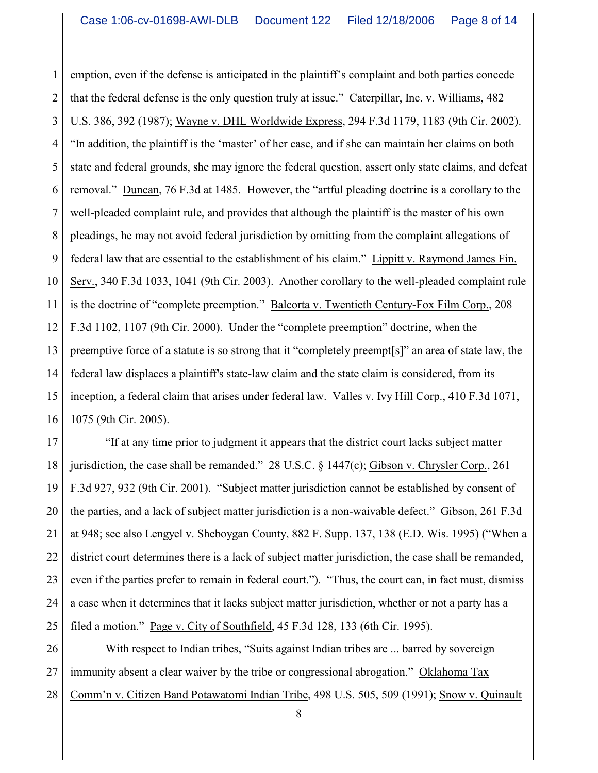1 2 3 4 5 6 7 8 9 10 11 12 13 14 15 16 emption, even if the defense is anticipated in the plaintiff's complaint and both parties concede that the federal defense is the only question truly at issue." Caterpillar, Inc. v. Williams, 482 U.S. 386, 392 (1987); Wayne v. DHL Worldwide Express, 294 F.3d 1179, 1183 (9th Cir. 2002). "In addition, the plaintiff is the 'master' of her case, and if she can maintain her claims on both state and federal grounds, she may ignore the federal question, assert only state claims, and defeat removal." Duncan, 76 F.3d at 1485. However, the "artful pleading doctrine is a corollary to the well-pleaded complaint rule, and provides that although the plaintiff is the master of his own pleadings, he may not avoid federal jurisdiction by omitting from the complaint allegations of federal law that are essential to the establishment of his claim." Lippitt v. Raymond James Fin. Serv., 340 F.3d 1033, 1041 (9th Cir. 2003). Another corollary to the well-pleaded complaint rule is the doctrine of "complete preemption." Balcorta v. Twentieth Century-Fox Film Corp., 208 F.3d 1102, 1107 (9th Cir. 2000). Under the "complete preemption" doctrine, when the preemptive force of a statute is so strong that it "completely preempt[s]" an area of state law, the federal law displaces a plaintiff's state-law claim and the state claim is considered, from its inception, a federal claim that arises under federal law. Valles v. Ivy Hill Corp., 410 F.3d 1071, 1075 (9th Cir. 2005).

17 18 19 20 21 22 23 24 25 "If at any time prior to judgment it appears that the district court lacks subject matter jurisdiction, the case shall be remanded." 28 U.S.C.  $\S$  1447(c); Gibson v. Chrysler Corp., 261 F.3d 927, 932 (9th Cir. 2001). "Subject matter jurisdiction cannot be established by consent of the parties, and a lack of subject matter jurisdiction is a non-waivable defect." Gibson, 261 F.3d at 948; see also Lengyel v. Sheboygan County, 882 F. Supp. 137, 138 (E.D. Wis. 1995) ("When a district court determines there is a lack of subject matter jurisdiction, the case shall be remanded, even if the parties prefer to remain in federal court."). "Thus, the court can, in fact must, dismiss a case when it determines that it lacks subject matter jurisdiction, whether or not a party has a filed a motion." Page v. City of Southfield, 45 F.3d 128, 133 (6th Cir. 1995).

26 27 28 With respect to Indian tribes, "Suits against Indian tribes are ... barred by sovereign immunity absent a clear waiver by the tribe or congressional abrogation." Oklahoma Tax Comm'n v. Citizen Band Potawatomi Indian Tribe, 498 U.S. 505, 509 (1991); Snow v. Quinault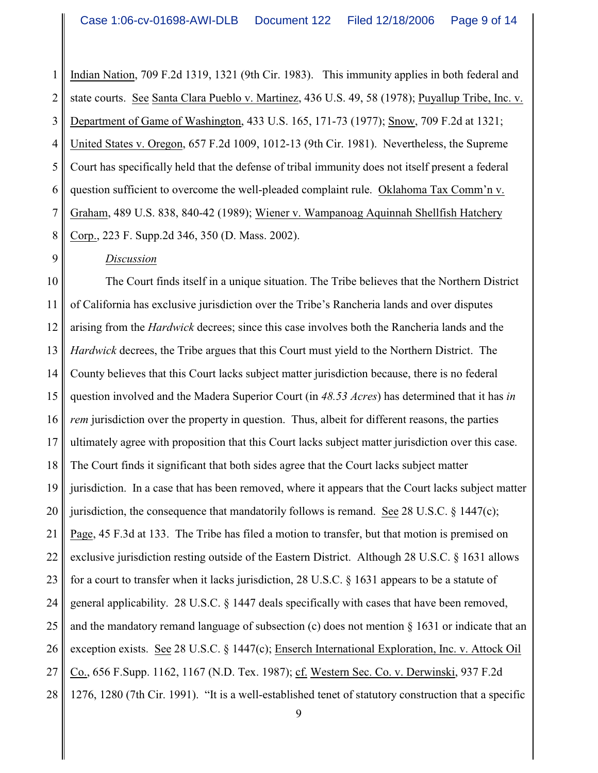1 2 3 4 5 6 7 8 Indian Nation, 709 F.2d 1319, 1321 (9th Cir. 1983). This immunity applies in both federal and state courts. See Santa Clara Pueblo v. Martinez, 436 U.S. 49, 58 (1978); Puyallup Tribe, Inc. v. Department of Game of Washington, 433 U.S. 165, 171-73 (1977); Snow, 709 F.2d at 1321; United States v. Oregon, 657 F.2d 1009, 1012-13 (9th Cir. 1981). Nevertheless, the Supreme Court has specifically held that the defense of tribal immunity does not itself present a federal question sufficient to overcome the well-pleaded complaint rule. Oklahoma Tax Comm'n v. Graham, 489 U.S. 838, 840-42 (1989); Wiener v. Wampanoag Aquinnah Shellfish Hatchery Corp., 223 F. Supp.2d 346, 350 (D. Mass. 2002).

## *Discussion*

9

10 11 12 13 14 15 16 17 18 19 20 21 22 23 24 25 26 27 28 The Court finds itself in a unique situation. The Tribe believes that the Northern District of California has exclusive jurisdiction over the Tribe's Rancheria lands and over disputes arising from the *Hardwick* decrees; since this case involves both the Rancheria lands and the *Hardwick* decrees, the Tribe argues that this Court must yield to the Northern District. The County believes that this Court lacks subject matter jurisdiction because, there is no federal question involved and the Madera Superior Court (in *48.53 Acres*) has determined that it has *in rem* jurisdiction over the property in question. Thus, albeit for different reasons, the parties ultimately agree with proposition that this Court lacks subject matter jurisdiction over this case. The Court finds it significant that both sides agree that the Court lacks subject matter jurisdiction. In a case that has been removed, where it appears that the Court lacks subject matter jurisdiction, the consequence that mandatorily follows is remand. See 28 U.S.C. § 1447(c); Page, 45 F.3d at 133. The Tribe has filed a motion to transfer, but that motion is premised on exclusive jurisdiction resting outside of the Eastern District. Although 28 U.S.C. § 1631 allows for a court to transfer when it lacks jurisdiction, 28 U.S.C. § 1631 appears to be a statute of general applicability. 28 U.S.C. § 1447 deals specifically with cases that have been removed, and the mandatory remand language of subsection (c) does not mention  $\S 1631$  or indicate that an exception exists. See 28 U.S.C. § 1447(c); Enserch International Exploration, Inc. v. Attock Oil Co., 656 F.Supp. 1162, 1167 (N.D. Tex. 1987); cf. Western Sec. Co. v. Derwinski, 937 F.2d 1276, 1280 (7th Cir. 1991). "It is a well-established tenet of statutory construction that a specific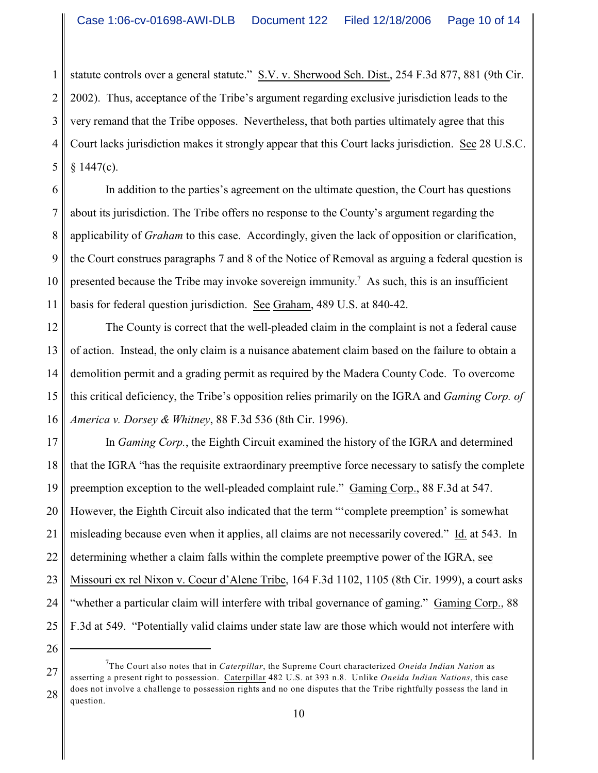1 2 3 4 5 statute controls over a general statute." S.V. v. Sherwood Sch. Dist., 254 F.3d 877, 881 (9th Cir. 2002). Thus, acceptance of the Tribe's argument regarding exclusive jurisdiction leads to the very remand that the Tribe opposes. Nevertheless, that both parties ultimately agree that this Court lacks jurisdiction makes it strongly appear that this Court lacks jurisdiction. See 28 U.S.C.  $§$  1447(c).

6 7 8 9 10 11 In addition to the parties's agreement on the ultimate question, the Court has questions about its jurisdiction. The Tribe offers no response to the County's argument regarding the applicability of *Graham* to this case. Accordingly, given the lack of opposition or clarification, the Court construes paragraphs 7 and 8 of the Notice of Removal as arguing a federal question is presented because the Tribe may invoke sovereign immunity.<sup>7</sup> As such, this is an insufficient basis for federal question jurisdiction. See Graham, 489 U.S. at 840-42.

12 13 14 15 16 The County is correct that the well-pleaded claim in the complaint is not a federal cause of action. Instead, the only claim is a nuisance abatement claim based on the failure to obtain a demolition permit and a grading permit as required by the Madera County Code. To overcome this critical deficiency, the Tribe's opposition relies primarily on the IGRA and *Gaming Corp. of America v. Dorsey & Whitney*, 88 F.3d 536 (8th Cir. 1996).

17 18 19 20 21 22 23 24 25 In *Gaming Corp.*, the Eighth Circuit examined the history of the IGRA and determined that the IGRA "has the requisite extraordinary preemptive force necessary to satisfy the complete preemption exception to the well-pleaded complaint rule." Gaming Corp., 88 F.3d at 547. However, the Eighth Circuit also indicated that the term "'complete preemption' is somewhat misleading because even when it applies, all claims are not necessarily covered." Id. at 543. In determining whether a claim falls within the complete preemptive power of the IGRA, see Missouri ex rel Nixon v. Coeur d'Alene Tribe, 164 F.3d 1102, 1105 (8th Cir. 1999), a court asks "whether a particular claim will interfere with tribal governance of gaming." Gaming Corp., 88 F.3d at 549. "Potentially valid claims under state law are those which would not interfere with

26

27

The Court also notes that in *Caterpillar*, the Supreme Court characterized *Oneida Indian Nation* as 7 asserting a present right to possession. Caterpillar 482 U.S. at 393 n.8. Unlike *Oneida Indian Nations*, this case does not involve a challenge to possession rights and no one disputes that the Tribe rightfully possess the land in question.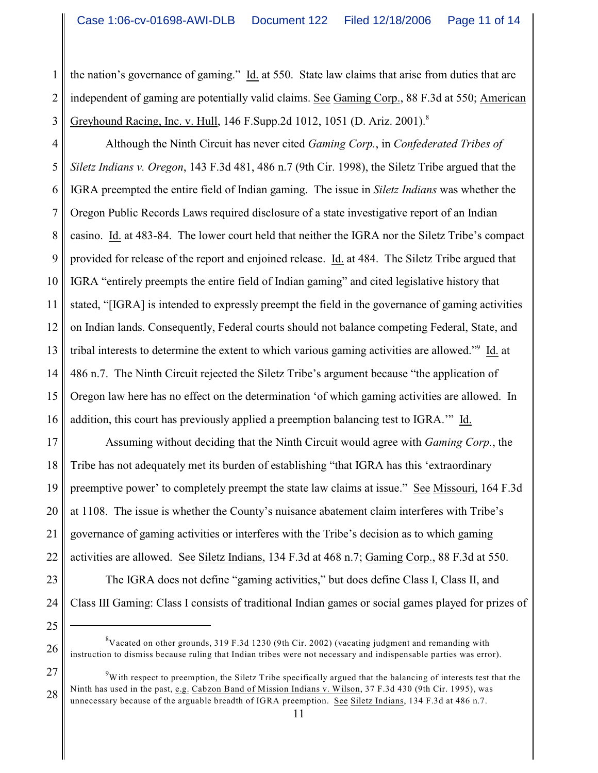1 2 3 the nation's governance of gaming." Id. at 550. State law claims that arise from duties that are independent of gaming are potentially valid claims. See Gaming Corp., 88 F.3d at 550; American Greyhound Racing, Inc. v. Hull, 146 F.Supp.2d 1012, 1051 (D. Ariz. 2001).<sup>8</sup>

4 5 6 7 8 9 10 11 12 13 14 15 16 Although the Ninth Circuit has never cited *Gaming Corp.*, in *Confederated Tribes of Siletz Indians v. Oregon*, 143 F.3d 481, 486 n.7 (9th Cir. 1998), the Siletz Tribe argued that the IGRA preempted the entire field of Indian gaming. The issue in *Siletz Indians* was whether the Oregon Public Records Laws required disclosure of a state investigative report of an Indian casino. Id. at 483-84. The lower court held that neither the IGRA nor the Siletz Tribe's compact provided for release of the report and enjoined release. Id. at 484. The Siletz Tribe argued that IGRA "entirely preempts the entire field of Indian gaming" and cited legislative history that stated, "[IGRA] is intended to expressly preempt the field in the governance of gaming activities on Indian lands. Consequently, Federal courts should not balance competing Federal, State, and tribal interests to determine the extent to which various gaming activities are allowed."<sup>9</sup> Id. at 486 n.7. The Ninth Circuit rejected the Siletz Tribe's argument because "the application of Oregon law here has no effect on the determination 'of which gaming activities are allowed. In addition, this court has previously applied a preemption balancing test to IGRA.'" Id.

17 18 19 20 21 22 Assuming without deciding that the Ninth Circuit would agree with *Gaming Corp.*, the Tribe has not adequately met its burden of establishing "that IGRA has this 'extraordinary preemptive power' to completely preempt the state law claims at issue." See Missouri, 164 F.3d at 1108. The issue is whether the County's nuisance abatement claim interferes with Tribe's governance of gaming activities or interferes with the Tribe's decision as to which gaming activities are allowed. See Siletz Indians, 134 F.3d at 468 n.7; Gaming Corp., 88 F.3d at 550.

23 24

25

26

The IGRA does not define "gaming activities," but does define Class I, Class II, and Class III Gaming: Class I consists of traditional Indian games or social games played for prizes of

 $\rm{^{8}V}$  acated on other grounds, 319 F.3d 1230 (9th Cir. 2002) (vacating judgment and remanding with instruction to dismiss because ruling that Indian tribes were not necessary and indispensable parties was error).

<sup>27</sup> 28  $\mu$ <sup>9</sup>W ith respect to preemption, the Siletz Tribe specifically argued that the balancing of interests test that the Ninth has used in the past, e.g. Cabzon Band of Mission Indians v. Wilson, 37 F.3d 430 (9th Cir. 1995), was unnecessary because of the arguable breadth of IGRA preemption. See Siletz Indians, 134 F.3d at 486 n.7.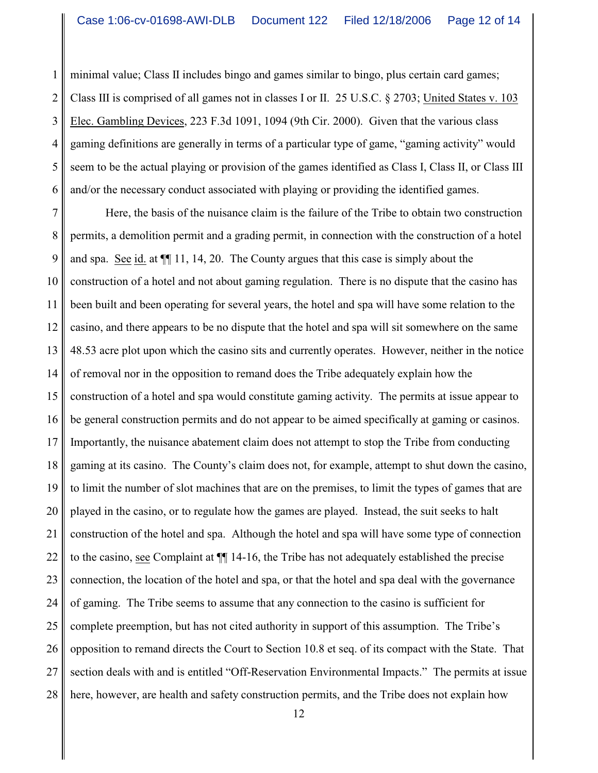1 2 3 4 5 6 minimal value; Class II includes bingo and games similar to bingo, plus certain card games; Class III is comprised of all games not in classes I or II. 25 U.S.C. § 2703; United States v. 103 Elec. Gambling Devices, 223 F.3d 1091, 1094 (9th Cir. 2000). Given that the various class gaming definitions are generally in terms of a particular type of game, "gaming activity" would seem to be the actual playing or provision of the games identified as Class I, Class II, or Class III and/or the necessary conduct associated with playing or providing the identified games.

7 8 9 10 11 12 13 14 15 16 17 18 19 20 21 22 23 24 25 26 27 28 Here, the basis of the nuisance claim is the failure of the Tribe to obtain two construction permits, a demolition permit and a grading permit, in connection with the construction of a hotel and spa. See id. at ¶¶ 11, 14, 20. The County argues that this case is simply about the construction of a hotel and not about gaming regulation. There is no dispute that the casino has been built and been operating for several years, the hotel and spa will have some relation to the casino, and there appears to be no dispute that the hotel and spa will sit somewhere on the same 48.53 acre plot upon which the casino sits and currently operates. However, neither in the notice of removal nor in the opposition to remand does the Tribe adequately explain how the construction of a hotel and spa would constitute gaming activity. The permits at issue appear to be general construction permits and do not appear to be aimed specifically at gaming or casinos. Importantly, the nuisance abatement claim does not attempt to stop the Tribe from conducting gaming at its casino. The County's claim does not, for example, attempt to shut down the casino, to limit the number of slot machines that are on the premises, to limit the types of games that are played in the casino, or to regulate how the games are played. Instead, the suit seeks to halt construction of the hotel and spa. Although the hotel and spa will have some type of connection to the casino, see Complaint at ¶¶ 14-16, the Tribe has not adequately established the precise connection, the location of the hotel and spa, or that the hotel and spa deal with the governance of gaming. The Tribe seems to assume that any connection to the casino is sufficient for complete preemption, but has not cited authority in support of this assumption. The Tribe's opposition to remand directs the Court to Section 10.8 et seq. of its compact with the State. That section deals with and is entitled "Off-Reservation Environmental Impacts." The permits at issue here, however, are health and safety construction permits, and the Tribe does not explain how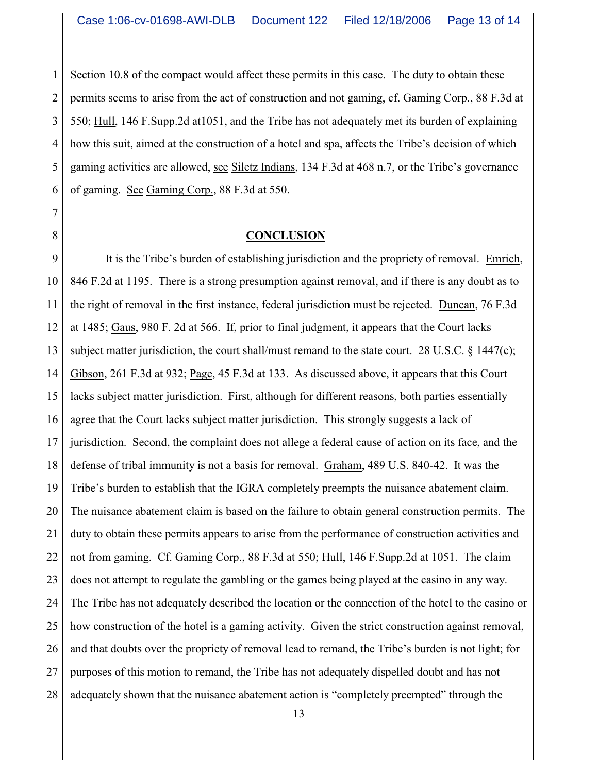1 2 Section 10.8 of the compact would affect these permits in this case. The duty to obtain these permits seems to arise from the act of construction and not gaming, cf. Gaming Corp., 88 F.3d at 550; Hull, 146 F.Supp.2d at1051, and the Tribe has not adequately met its burden of explaining how this suit, aimed at the construction of a hotel and spa, affects the Tribe's decision of which gaming activities are allowed, see Siletz Indians, 134 F.3d at 468 n.7, or the Tribe's governance of gaming. See Gaming Corp., 88 F.3d at 550.

#### **CONCLUSION**

9 It is the Tribe's burden of establishing jurisdiction and the propriety of removal. Emrich, 846 F.2d at 1195. There is a strong presumption against removal, and if there is any doubt as to the right of removal in the first instance, federal jurisdiction must be rejected. Duncan, 76 F.3d at 1485; Gaus, 980 F. 2d at 566. If, prior to final judgment, it appears that the Court lacks subject matter jurisdiction, the court shall/must remand to the state court. 28 U.S.C.  $\S$  1447(c); Gibson, 261 F.3d at 932; Page, 45 F.3d at 133. As discussed above, it appears that this Court lacks subject matter jurisdiction. First, although for different reasons, both parties essentially agree that the Court lacks subject matter jurisdiction. This strongly suggests a lack of jurisdiction. Second, the complaint does not allege a federal cause of action on its face, and the defense of tribal immunity is not a basis for removal. Graham, 489 U.S. 840-42. It was the Tribe's burden to establish that the IGRA completely preempts the nuisance abatement claim. The nuisance abatement claim is based on the failure to obtain general construction permits. The duty to obtain these permits appears to arise from the performance of construction activities and not from gaming. Cf. Gaming Corp., 88 F.3d at 550; Hull, 146 F.Supp.2d at 1051. The claim does not attempt to regulate the gambling or the games being played at the casino in any way. The Tribe has not adequately described the location or the connection of the hotel to the casino or how construction of the hotel is a gaming activity. Given the strict construction against removal, and that doubts over the propriety of removal lead to remand, the Tribe's burden is not light; for purposes of this motion to remand, the Tribe has not adequately dispelled doubt and has not adequately shown that the nuisance abatement action is "completely preempted" through the